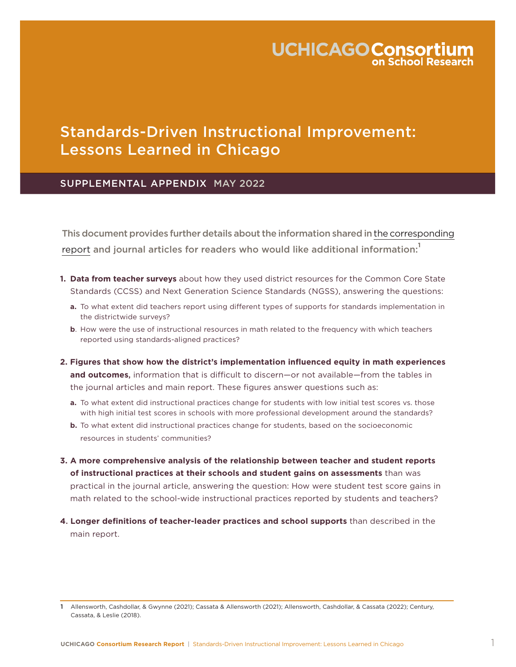# **UCHICAGO Consortium**

# Standards-Driven Instructional Improvement: Lessons Learned in Chicago

## SUPPLEMENTAL APPENDIX MAY 2022

This document provides further details about the information shared in [the corresponding](https://consortium.uchicago.edu/publications/standards-driven-instructional-improvement) [report](https://consortium.uchicago.edu/publications/standards-driven-instructional-improvement) and journal articles for readers who would like additional information:**<sup>1</sup>**

- **1. Data from teacher surveys** about how they used district resources for the Common Core State Standards (CCSS) and Next Generation Science Standards (NGSS), answering the questions:
	- **a.** To what extent did teachers report using different types of supports for standards implementation in the districtwide surveys?
	- **b**. How were the use of instructional resources in math related to the frequency with which teachers reported using standards-aligned practices?
- **2. Figures that show how the district's implementation influenced equity in math experiences and outcomes**, information that is difficult to discern—or not available—from the tables in the journal articles and main report. These figures answer questions such as:
	- **a.** To what extent did instructional practices change for students with low initial test scores vs. those with high initial test scores in schools with more professional development around the standards?
	- **b.** To what extent did instructional practices change for students, based on the socioeconomic resources in students' communities?
- **3. A more comprehensive analysis of the relationship between teacher and student reports of instructional practices at their schools and student gains on assessments** than was practical in the journal article, answering the question: How were student test score gains in math related to the school-wide instructional practices reported by students and teachers?
- **4**. **Longer definitions of teacher-leader practices and school supports** than described in the main report.

<sup>1</sup> Allensworth, Cashdollar, & Gwynne (2021); Cassata & Allensworth (2021); Allensworth, Cashdollar, & Cassata (2022); Century, Cassata, & Leslie (2018).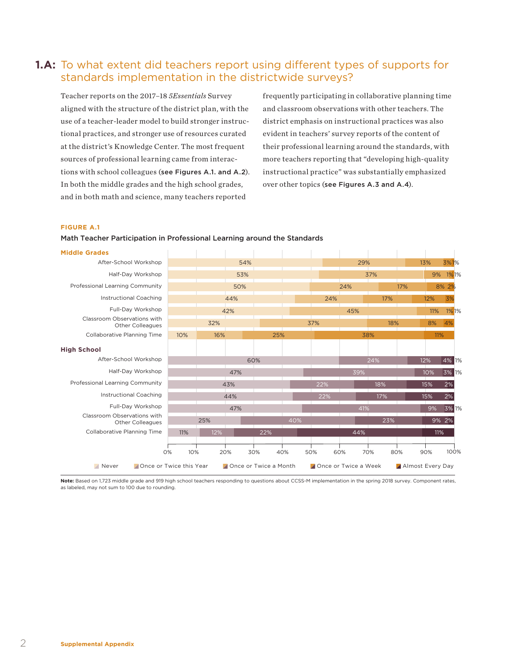## **1.A:** To what extent did teachers report using different types of supports for standards implementation in the districtwide surveys?

Teacher reports on the 2017–18 *5Essentials* Survey aligned with the structure of the district plan, with the use of a teacher-leader model to build stronger instructional practices, and stronger use of resources curated at the district's Knowledge Center. The most frequent sources of professional learning came from interactions with school colleagues (see Figures A.1. and A.2). In both the middle grades and the high school grades, and in both math and science, many teachers reported

frequently participating in collaborative planning time and classroom observations with other teachers. The district emphasis on instructional practices was also evident in teachers' survey reports of the content of their professional learning around the standards, with more teachers reporting that "developing high-quality instructional practice" was substantially emphasized over other topics (see Figures A.3 and A.4).

## **FIGURE A.1**

## Math Teacher Participation in Professional Learning around the Standards

**Middle Grades** After-School Workshop Half-Day Workshop Professional Learning Community Instructional Coaching Full-Day Workshop Classroom Observations with Other Colleagues Collaborative Planning Time **High School** After-School Workshop Half-Day Workshop Professional Learning Community Instructional Coaching Full-Day Workshop Classroom Observations with Other Colleagues Collaborative Planning Time 54% 29% 13% 3%1% 53% 37% 9% 1%1% 50% 24% 17% 8% 2% 44% 24% 17% 12% 3% 42% 45% 11% 1% 1% 32% 37% 18% 8% 4% 10% 16% 25% 38% 11% 60% 24% 12% 4% 1% 47% 39% 10% 3% 1% 43% 22% 18% 15% 2% 44% 22% 17% 15% 2% 47% 41% 9% 3% 1% 0% 10% 20% 30% 40% 50% 60% 70% 80% 90% 100% 25% 40% 23% 9% 2% 11% 12% 22% 44% 11% **A** Never **Conceting Once or Twice a** Once or Twice a Month **Concert of Twice a Week** Concess Twice a Week Almost Every Day

Note: Based on 1.723 middle grade and 919 high school teachers responding to questions about CCSS-M implementation in the spring 2018 survey. Component rates, as labeled, may not sum to 100 due to rounding.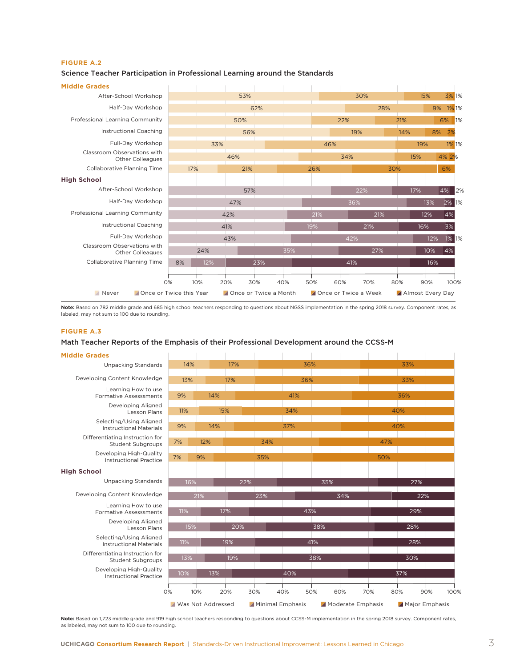## **FIGURE A.2**

#### **Middle Grades** After-School Workshop Half-Day Workshop Professional Learning Community Instructional Coaching Full-Day Workshop Classroom Observations with Other Colleagues Collaborative Planning Time **High School** After-School Workshop Half-Day Workshop Professional Learning Community Instructional Coaching Full-Day Workshop Classroom Observations with Other Colleagues Collaborative Planning Time 53% 30% 15% 3% 1% 62% 28% 9% 1% 1% 50% 22% 21% 6% 1% 56% 19% 14% 8% 2% 33% 46% 19% 1% 1% 46% 34% 15% 4% 2% 17% 21% 26% 30% 6% 57% 22% 17% 4% 2% 47% 36% 13% 2% 1% 42% 21% 21% 12% 4% 41% 19% 21% 16% 3% 43% 42% 12% 1% 1% 0% 10% 20% 30% 40% 50% 60% 70% 80% 90% 100% 24% 35% 27% 10% 4% 8% 12% 23% 41% 16% **A** Never **Once or Twice this Year Once or Twice a Month A** Once or Twice a Week **A** Almost Every Day

## Science Teacher Participation in Professional Learning around the Standards

**Note:** Based on 782 middle grade and 685 high school teachers responding to questions about NGSS implementation in the spring 2018 survey. Component rates, as labeled, may not sum to 100 due to rounding.

## **FIGURE A.3**

## Math Teacher Reports of the Emphasis of their Professional Development around the CCSS-M

| <b>Middle Grades</b>                                        |     |     |                          |     |     |                         |     |                   |     |                  |             |  |
|-------------------------------------------------------------|-----|-----|--------------------------|-----|-----|-------------------------|-----|-------------------|-----|------------------|-------------|--|
| <b>Unpacking Standards</b>                                  | 14% |     |                          | 17% |     | 36%                     |     |                   | 33% |                  |             |  |
| Developing Content Knowledge                                | 13% |     | 17%                      |     |     | 36%                     |     |                   | 33% |                  |             |  |
| Learning How to use<br><b>Formative Assesssments</b>        | 9%  |     |                          | 14% |     | 41%                     |     |                   | 36% |                  |             |  |
| Developing Aligned<br>Lesson Plans                          | 11% |     | 15%                      |     |     | 34%                     |     |                   | 40% |                  |             |  |
| Selecting/Using Aligned<br><b>Instructional Materials</b>   | 9%  |     | 14%                      |     |     | 37%                     |     |                   | 40% |                  |             |  |
| Differentiating Instruction for<br><b>Student Subgroups</b> | 7%  |     | 12%                      |     | 34% |                         |     |                   | 47% |                  |             |  |
| Developing High-Quality<br><b>Instructional Practice</b>    | 7%  |     | 9%                       |     | 35% |                         |     |                   | 50% |                  |             |  |
| <b>High School</b>                                          |     |     |                          |     |     |                         |     |                   |     |                  |             |  |
| <b>Unpacking Standards</b>                                  |     | 16% |                          | 22% |     |                         | 35% |                   |     | 27%              |             |  |
| Developing Content Knowledge                                |     | 21% |                          |     | 23% |                         |     | 34%               |     | 22%              |             |  |
| Learning How to use<br><b>Formative Assesssments</b>        | 11% |     |                          | 17% |     |                         | 43% |                   |     | 29%              |             |  |
| Developing Aligned<br>Lesson Plans                          |     | 15% |                          | 20% |     |                         | 38% |                   |     | 28%              |             |  |
| Selecting/Using Aligned<br><b>Instructional Materials</b>   | 11% |     |                          | 19% |     |                         | 41% |                   |     | 28%              |             |  |
| Differentiating Instruction for<br><b>Student Subgroups</b> | 13% |     |                          | 19% |     |                         | 38% |                   |     | 30%              |             |  |
| Developing High-Quality<br><b>Instructional Practice</b>    | 10% |     | 13%                      |     |     | 40%                     |     |                   |     | 37%              |             |  |
|                                                             | 0%  | 10% |                          | 20% | 30% | 40%                     | 50% | 70%<br>60%        |     | 80%              | 90%<br>100% |  |
|                                                             |     |     | <b>Was Not Addressed</b> |     |     | <b>Minimal Emphasis</b> |     | Moderate Emphasis |     | A Major Emphasis |             |  |

**Note:** Based on 1,723 middle grade and 919 high school teachers responding to questions about CCSS-M implementation in the spring 2018 survey. Component rates, as labeled, may not sum to 100 due to rounding.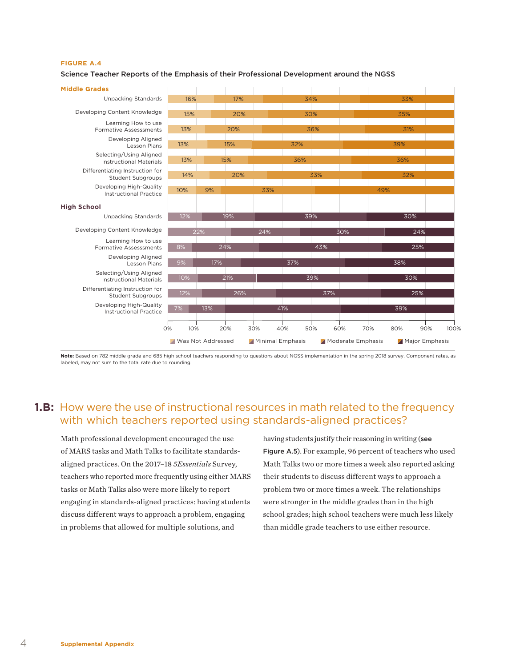#### **FIGURE A.4**

## Science Teacher Reports of the Emphasis of their Professional Development around the NGSS



**Note:** Based on 782 middle grade and 685 high school teachers responding to questions about NGSS implementation in the spring 2018 survey. Component rates, as labeled, may not sum to the total rate due to rounding.

## **1.B:** How were the use of instructional resources in math related to the frequency with which teachers reported using standards-aligned practices?

Math professional development encouraged the use of MARS tasks and Math Talks to facilitate standardsaligned practices. On the 2017–18 *5Essentials* Survey, teachers who reported more frequently using either MARS tasks or Math Talks also were more likely to report engaging in standards-aligned practices: having students discuss different ways to approach a problem, engaging in problems that allowed for multiple solutions, and

having students justify their reasoning in writing (see Figure A.5). For example, 96 percent of teachers who used Math Talks two or more times a week also reported asking their students to discuss different ways to approach a problem two or more times a week. The relationships were stronger in the middle grades than in the high school grades; high school teachers were much less likely than middle grade teachers to use either resource.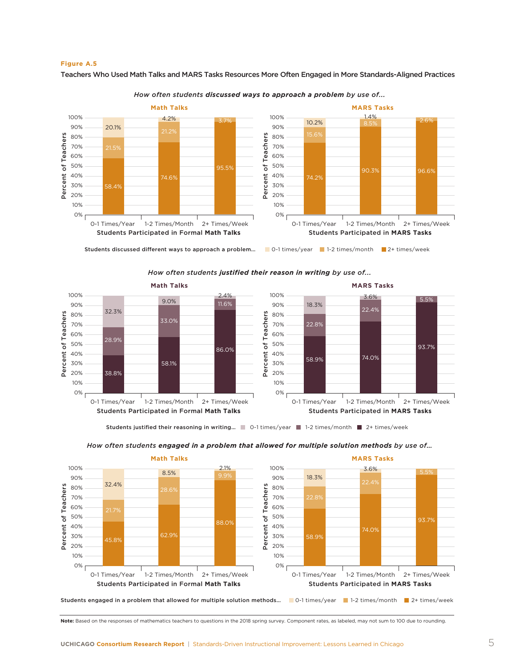

Teachers Who Used Math Talks and MARS Tasks Resources More Often Engaged in More Standards-Aligned Practices



*How often students discussed ways to approach a problem by use of...*

*How often students justified their reason in writing by use of...*



Students justified their reasoning in writing... 1 0-1 times/year 1-2 times/month 2+ times/week



*How often students engaged in a problem that allowed for multiple solution methods by use of…*

**Note:** Based on the responses of mathematics teachers to questions in the 2018 spring survey. Component rates, as labeled, may not sum to 100 due to rounding.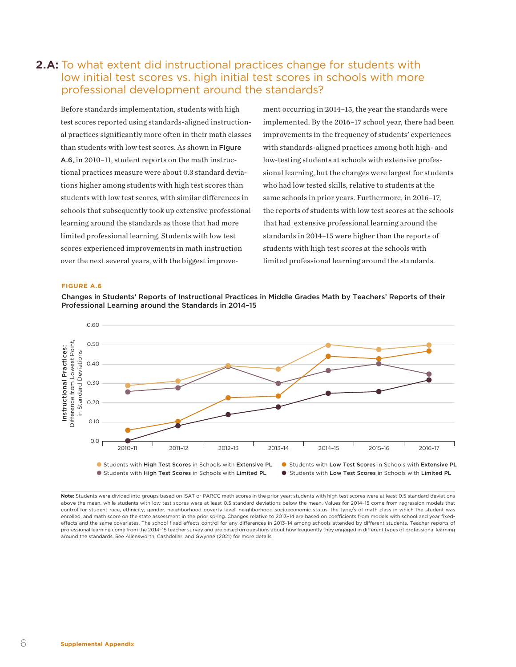## **2.A:** To what extent did instructional practices change for students with low initial test scores vs. high initial test scores in schools with more professional development around the standards?

Before standards implementation, students with high test scores reported using standards-aligned instructional practices significantly more often in their math classes than students with low test scores. As shown in Figure A.6, in 2010–11, student reports on the math instructional practices measure were about 0.3 standard deviations higher among students with high test scores than students with low test scores, with similar differences in schools that subsequently took up extensive professional learning around the standards as those that had more limited professional learning. Students with low test scores experienced improvements in math instruction over the next several years, with the biggest improvement occurring in 2014–15, the year the standards were implemented. By the 2016–17 school year, there had been improvements in the frequency of students' experiences with standards-aligned practices among both high- and low-testing students at schools with extensive professional learning, but the changes were largest for students who had low tested skills, relative to students at the same schools in prior years. Furthermore, in 2016–17, the reports of students with low test scores at the schools that had extensive professional learning around the standards in 2014–15 were higher than the reports of students with high test scores at the schools with limited professional learning around the standards.

#### **FIGURE A.6**





**Note:** Students were divided into groups based on ISAT or PARCC math scores in the prior year; students with high test scores were at least 0.5 standard deviations above the mean, while students with low test scores were at least 0.5 standard deviations below the mean. Values for 2014–15 come from regression models that control for student race, ethnicity, gender, neighborhood poverty level, neighborhood socioeconomic status, the type/s of math class in which the student was enrolled, and math score on the state assessment in the prior spring. Changes relative to 2013-14 are based on coefficients from models with school and year fixedeffects and the same covariates. The school fixed effects control for any differences in 2013-14 among schools attended by different students. Teacher reports of professional learning come from the 2014-15 teacher survey and are based on questions about how frequently they engaged in different types of professional learning around the standards. See Allensworth, Cashdollar, and Gwynne (2021) for more details.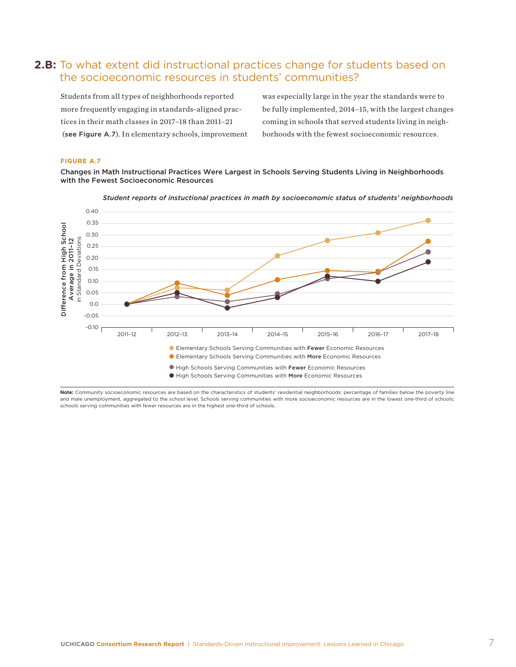## **2.B:** To what extent did instructional practices change for students based on the socioeconomic resources in students' communities?

Students from all types of neighborhoods reported more frequently engaging in standards-aligned practices in their math classes in 2017–18 than 2011–21 (see Figure A.7). In elementary schools, improvement was especially large in the year the standards were to be fully implemented, 2014–15, with the largest changes coming in schools that served students living in neighborhoods with the fewest socioeconomic resources.

## **FIGURE A.7**

Changes in Math Instructional Practices Were Largest in Schools Serving Students Living in Neighborhoods with the Fewest Socioeconomic Resources



*Student reports of instuctional practices in math by socioeconomic status of students' neighborhoods*

**Note:** Community socioeconomic resources are based on the characteristics of students' residential neighborhoods: percentage of families below the poverty line and male unemployment, aggregated to the school level. Schools serving communities with more socioeconomic resources are in the lowest one-third of schools; schools serving communities with fewer resources are in the highest one-third of schools.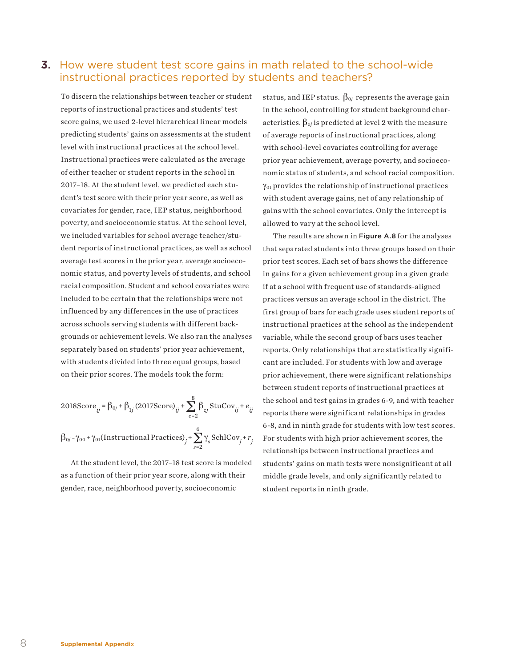## **3.** How were student test score gains in math related to the school-wide instructional practices reported by students and teachers?

To discern the relationships between teacher or student reports of instructional practices and students' test score gains, we used 2-level hierarchical linear models predicting students' gains on assessments at the student level with instructional practices at the school level. Instructional practices were calculated as the average of either teacher or student reports in the school in 2017–18. At the student level, we predicted each student's test score with their prior year score, as well as covariates for gender, race, IEP status, neighborhood poverty, and socioeconomic status. At the school level, we included variables for school average teacher/student reports of instructional practices, as well as school average test scores in the prior year, average socioeconomic status, and poverty levels of students, and school racial composition. Student and school covariates were included to be certain that the relationships were not influenced by any differences in the use of practices across schools serving students with different backgrounds or achievement levels. We also ran the analyses separately based on students' prior year achievement, with students divided into three equal groups, based on their prior scores. The models took the form:

2018Score<sub>ij</sub> = 
$$
\beta_{0j} + \beta_{1j}
$$
 (2017Score)<sub>ij</sub> +  $\sum_{c=2}^{8} \beta_{cj}$ StuCov<sub>ij</sub> +  $e_{ij}$   
 $\beta_{0j} = \gamma_{00} + \gamma_{01}$ (Instructional Practices)<sub>j</sub> +  $\sum_{s=2}^{6} \gamma_s$ SchlCov<sub>j</sub> +  $r_j$ 

At the student level, the 2017–18 test score is modeled as a function of their prior year score, along with their gender, race, neighborhood poverty, socioeconomic

status, and IEP status.  $\beta_{0j}$  represents the average gain in the school, controlling for student background characteristics.  $\beta_{0j}$  is predicted at level 2 with the measure of average reports of instructional practices, along with school-level covariates controlling for average prior year achievement, average poverty, and socioeconomic status of students, and school racial composition. γ01 provides the relationship of instructional practices with student average gains, net of any relationship of gains with the school covariates. Only the intercept is allowed to vary at the school level.

The results are shown in Figure A.8 for the analyses that separated students into three groups based on their prior test scores. Each set of bars shows the difference in gains for a given achievement group in a given grade if at a school with frequent use of standards-aligned practices versus an average school in the district. The first group of bars for each grade uses student reports of instructional practices at the school as the independent variable, while the second group of bars uses teacher reports. Only relationships that are statistically significant are included. For students with low and average prior achievement, there were significant relationships between student reports of instructional practices at the school and test gains in grades 6-9, and with teacher reports there were significant relationships in grades 6-8, and in ninth grade for students with low test scores. For students with high prior achievement scores, the relationships between instructional practices and students' gains on math tests were nonsignificant at all middle grade levels, and only significantly related to student reports in ninth grade.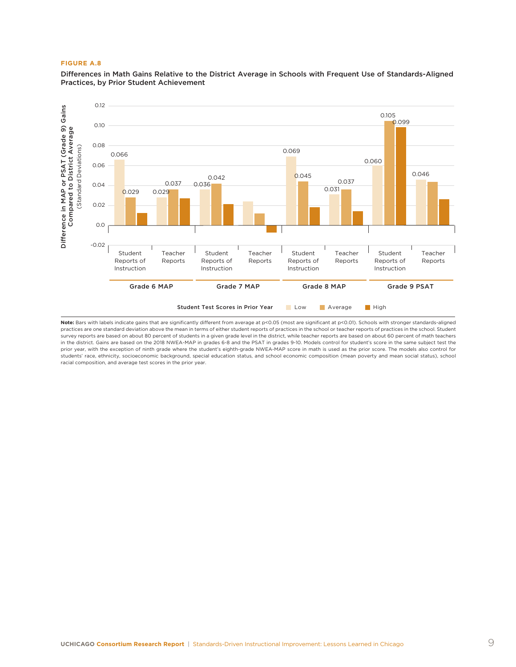## **FIGURE A.8**

Differences in Math Gains Relative to the District Average in Schools with Frequent Use of Standards-Aligned Practices, by Prior Student Achievement



Note: Bars with labels indicate gains that are significantly different from average at p<0.05 (most are significant at p<0.01). Schools with stronger standards-aligned practices are one standard deviation above the mean in terms of either student reports of practices in the school or teacher reports of practices in the school. Student survey reports are based on about 80 percent of students in a given grade level in the district, while teacher reports are based on about 60 percent of math teachers in the district. Gains are based on the 2018 NWEA-MAP in grades 6-8 and the PSAT in grades 9-10. Models control for student's score in the same subject test the prior year, with the exception of ninth grade where the student's eighth-grade NWEA-MAP score in math is used as the prior score. The models also control for students' race, ethnicity, socioeconomic background, special education status, and school economic composition (mean poverty and mean social status), school racial composition, and average test scores in the prior year.